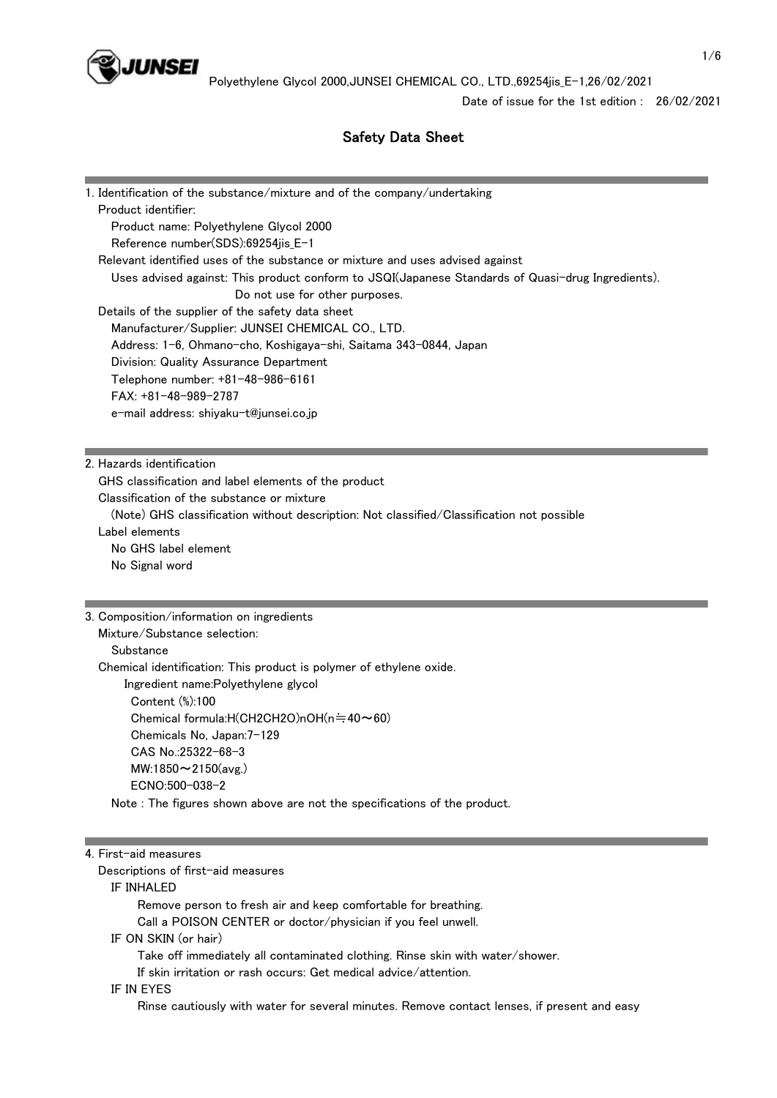

Date of issue for the 1st edition : 26/02/2021

## Safety Data Sheet

| 1. Identification of the substance/mixture and of the company/undertaking                         |
|---------------------------------------------------------------------------------------------------|
| Product identifier:                                                                               |
| Product name: Polyethylene Glycol 2000                                                            |
| Reference number(SDS):69254jis_E-1                                                                |
| Relevant identified uses of the substance or mixture and uses advised against                     |
| Uses advised against: This product conform to JSQI(Japanese Standards of Quasi-drug Ingredients). |
| Do not use for other purposes.                                                                    |
| Details of the supplier of the safety data sheet                                                  |
| Manufacturer/Supplier: JUNSEI CHEMICAL CO., LTD.                                                  |
| Address: 1-6, Ohmano-cho, Koshigaya-shi, Saitama 343-0844, Japan                                  |
| Division: Quality Assurance Department                                                            |
| Telephone number: +81-48-986-6161                                                                 |
| $FAX: +81-48-989-2787$                                                                            |
| e-mail address: shiyaku-t@junsei.co.jp                                                            |
|                                                                                                   |
|                                                                                                   |
| 2. Hazards identification                                                                         |
| GHS classification and label elements of the product                                              |
| Classification of the substance or mixture                                                        |
| (Note) GHS classification without description: Not classified/Classification not possible         |
| Label elements                                                                                    |
| No GHS label element                                                                              |
| No Signal word                                                                                    |
|                                                                                                   |
| 3. Composition/information on ingredients                                                         |
| Mixture/Substance selection:                                                                      |
| Substance                                                                                         |
| Chemical identification: This product is polymer of ethylene oxide.                               |
| Ingredient name:Polyethylene glycol                                                               |
| Content (%):100                                                                                   |
| Chemical formula:H(CH2CH2O)nOH(n=40~60)                                                           |
| Chemicals No, Japan: 7-129                                                                        |
| CAS No.:25322-68-3                                                                                |
| MW:1850 $\sim$ 2150(avg.)                                                                         |
| ECNO:500-038-2                                                                                    |
| Note: The figures shown above are not the specifications of the product.                          |
|                                                                                                   |

#### 4. First-aid measures

Descriptions of first-aid measures

## IF INHALED

Remove person to fresh air and keep comfortable for breathing.

Call a POISON CENTER or doctor/physician if you feel unwell.

### IF ON SKIN (or hair)

Take off immediately all contaminated clothing. Rinse skin with water/shower.

If skin irritation or rash occurs: Get medical advice/attention.

#### IF IN EYES

Rinse cautiously with water for several minutes. Remove contact lenses, if present and easy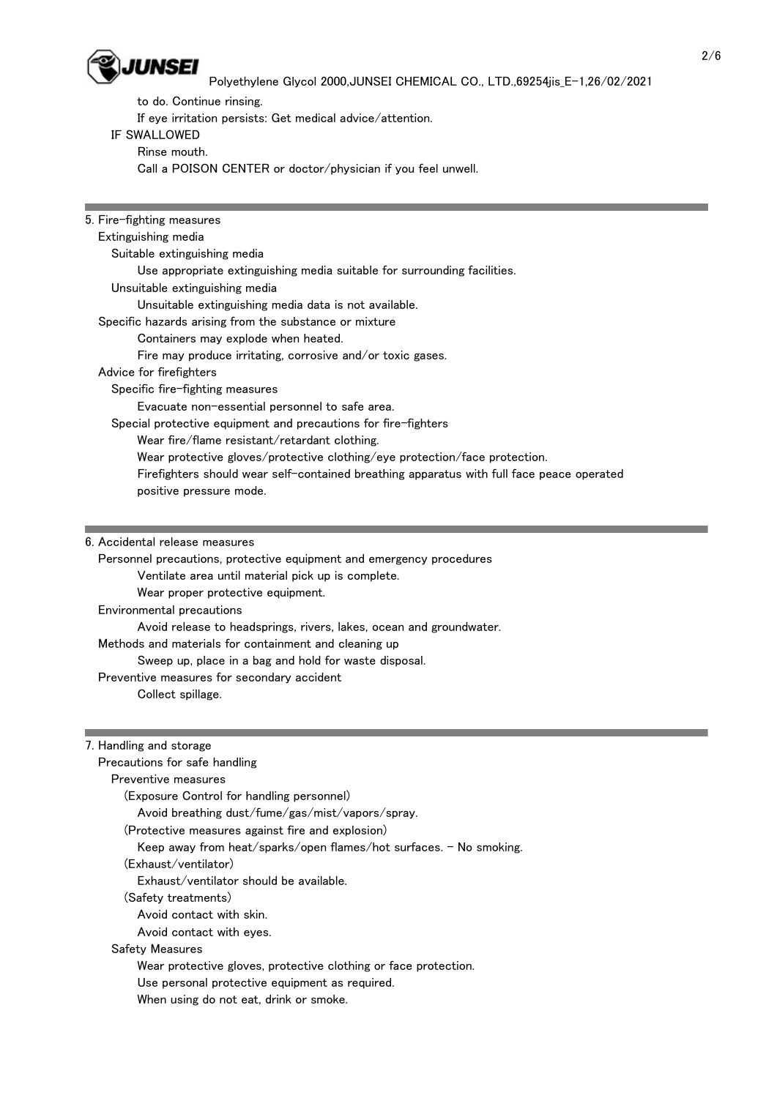

to do. Continue rinsing.

If eye irritation persists: Get medical advice/attention.

### IF SWALLOWED

Rinse mouth.

Call a POISON CENTER or doctor/physician if you feel unwell.

5. Fire-fighting measures Extinguishing media Suitable extinguishing media Use appropriate extinguishing media suitable for surrounding facilities. Unsuitable extinguishing media Unsuitable extinguishing media data is not available. Specific hazards arising from the substance or mixture Containers may explode when heated. Fire may produce irritating, corrosive and/or toxic gases. Advice for firefighters Specific fire-fighting measures Evacuate non-essential personnel to safe area. Special protective equipment and precautions for fire-fighters Wear fire/flame resistant/retardant clothing. Wear protective gloves/protective clothing/eye protection/face protection. Firefighters should wear self-contained breathing apparatus with full face peace operated positive pressure mode.

6. Accidental release measures

 Personnel precautions, protective equipment and emergency procedures Ventilate area until material pick up is complete. Wear proper protective equipment. Environmental precautions Avoid release to headsprings, rivers, lakes, ocean and groundwater. Methods and materials for containment and cleaning up Sweep up, place in a bag and hold for waste disposal. Preventive measures for secondary accident Collect spillage.

7. Handling and storage

| Precautions for safe handling                                        |
|----------------------------------------------------------------------|
| Preventive measures                                                  |
| (Exposure Control for handling personnel)                            |
| Avoid breathing dust/fume/gas/mist/vapors/spray.                     |
| (Protective measures against fire and explosion)                     |
| Keep away from heat/sparks/open flames/hot surfaces. $-$ No smoking. |
| (Exhaust/ventilator)                                                 |
| Exhaust/ventilator should be available.                              |
| (Safety treatments)                                                  |
| Avoid contact with skin.                                             |
| Avoid contact with eyes.                                             |
| Safety Measures                                                      |
| Wear protective gloves, protective clothing or face protection.      |
| Use personal protective equipment as required.                       |
| When using do not eat, drink or smoke.                               |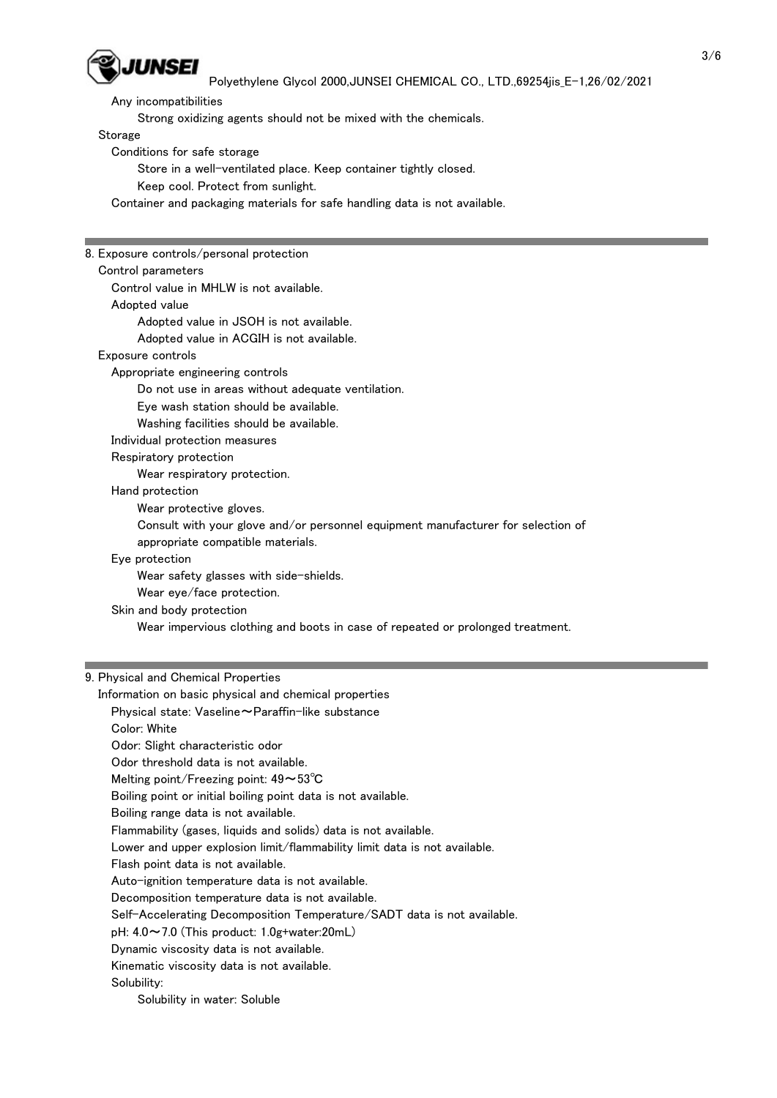

Any incompatibilities

Strong oxidizing agents should not be mixed with the chemicals.

Storage

Conditions for safe storage

Store in a well-ventilated place. Keep container tightly closed.

Keep cool. Protect from sunlight.

Container and packaging materials for safe handling data is not available.

8. Exposure controls/personal protection Control parameters Control value in MHLW is not available. Adopted value Adopted value in JSOH is not available. Adopted value in ACGIH is not available. Exposure controls Appropriate engineering controls Do not use in areas without adequate ventilation. Eye wash station should be available. Washing facilities should be available. Individual protection measures Respiratory protection Wear respiratory protection. Hand protection Wear protective gloves. Consult with your glove and/or personnel equipment manufacturer for selection of appropriate compatible materials. Eye protection Wear safety glasses with side-shields. Wear eye/face protection. Skin and body protection Wear impervious clothing and boots in case of repeated or prolonged treatment.

### 9. Physical and Chemical Properties

 Information on basic physical and chemical properties Physical state: Vaseline~Paraffin-like substance Color: White Odor: Slight characteristic odor Odor threshold data is not available. Melting point/Freezing point: 49~53℃ Boiling point or initial boiling point data is not available. Boiling range data is not available. Flammability (gases, liquids and solids) data is not available. Lower and upper explosion limit/flammability limit data is not available. Flash point data is not available. Auto-ignition temperature data is not available. Decomposition temperature data is not available. Self-Accelerating Decomposition Temperature/SADT data is not available. pH: 4.0~7.0 (This product: 1.0g+water:20mL) Dynamic viscosity data is not available. Kinematic viscosity data is not available. Solubility:

Solubility in water: Soluble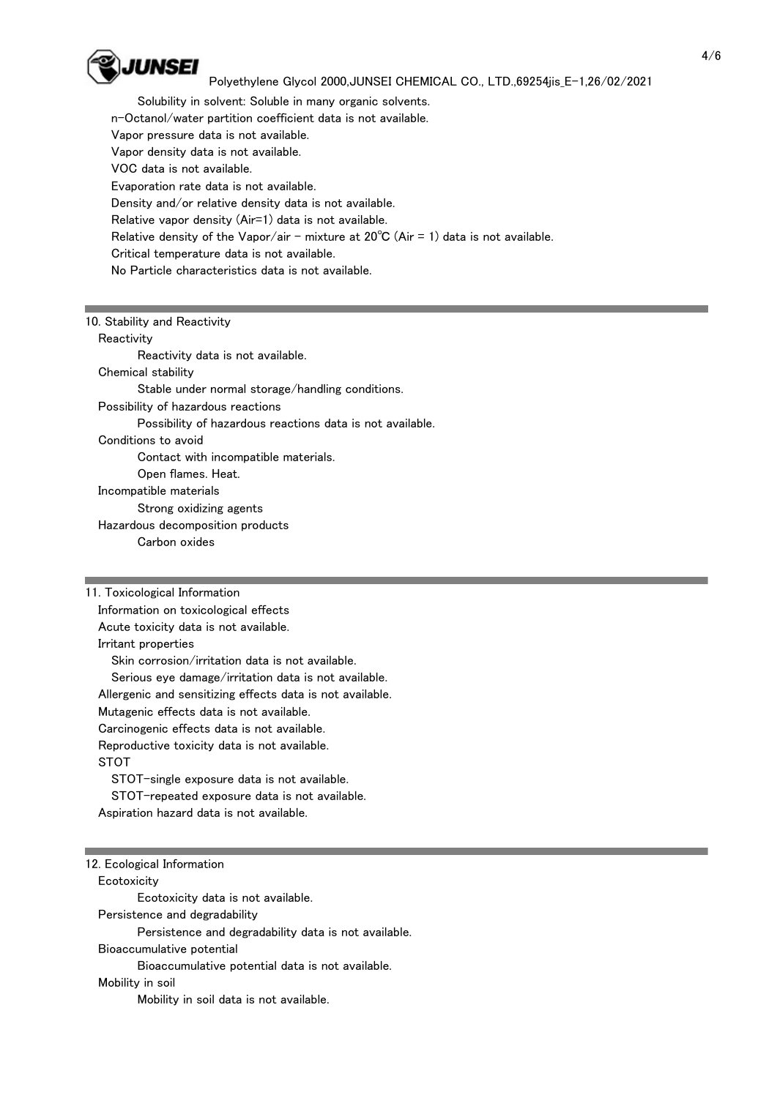

 Solubility in solvent: Soluble in many organic solvents. n-Octanol/water partition coefficient data is not available. Vapor pressure data is not available. Vapor density data is not available. VOC data is not available. Evaporation rate data is not available. Density and/or relative density data is not available. Relative vapor density (Air=1) data is not available. Relative density of the Vapor/air - mixture at  $20^{\circ}$ C (Air = 1) data is not available. Critical temperature data is not available. No Particle characteristics data is not available.

## 10. Stability and Reactivity

**Reactivity** 

 Reactivity data is not available. Chemical stability Stable under normal storage/handling conditions. Possibility of hazardous reactions Possibility of hazardous reactions data is not available. Conditions to avoid Contact with incompatible materials. Open flames. Heat.

Incompatible materials

Strong oxidizing agents

Hazardous decomposition products

Carbon oxides

11. Toxicological Information

Information on toxicological effects

Acute toxicity data is not available.

Irritant properties

 Skin corrosion/irritation data is not available. Serious eye damage/irritation data is not available. Allergenic and sensitizing effects data is not available. Mutagenic effects data is not available. Carcinogenic effects data is not available. Reproductive toxicity data is not available. STOT STOT-single exposure data is not available.

 STOT-repeated exposure data is not available. Aspiration hazard data is not available.

### 12. Ecological Information **Ecotoxicity**

 Ecotoxicity data is not available. Persistence and degradability Persistence and degradability data is not available. Bioaccumulative potential Bioaccumulative potential data is not available. Mobility in soil Mobility in soil data is not available.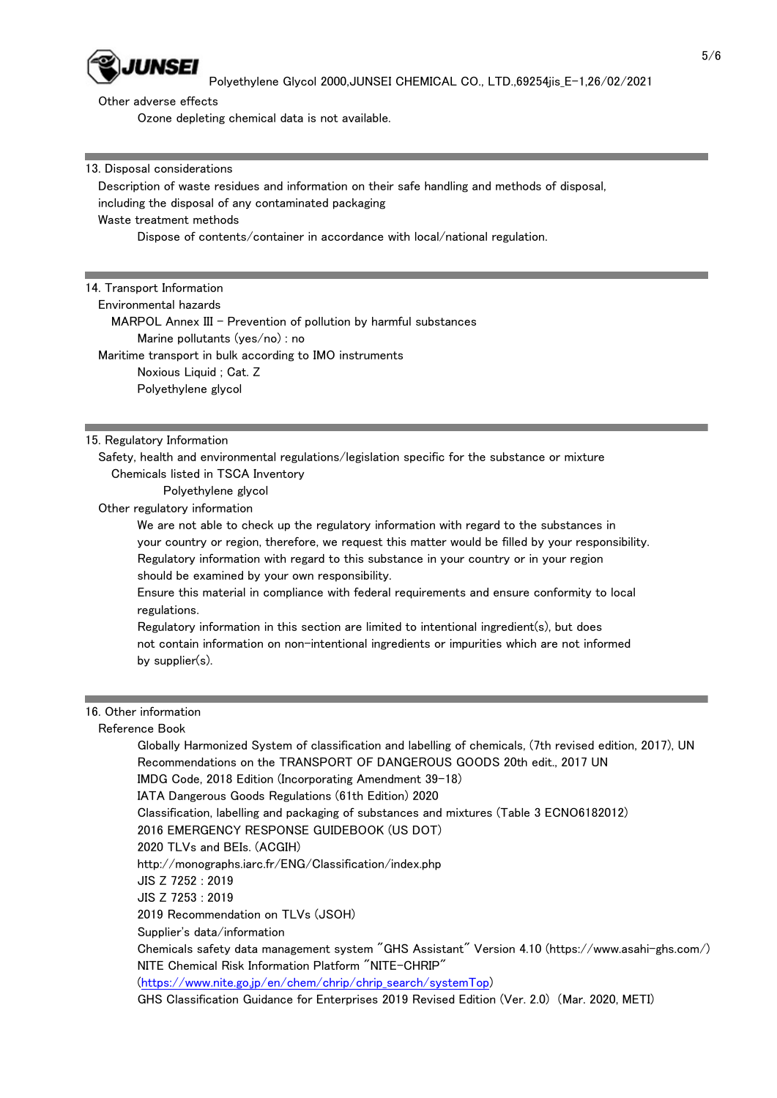

Other adverse effects

Ozone depleting chemical data is not available.

13. Disposal considerations

 Description of waste residues and information on their safe handling and methods of disposal, including the disposal of any contaminated packaging Waste treatment methods

Dispose of contents/container in accordance with local/national regulation.

### 14. Transport Information

Environmental hazards

MARPOL Annex III - Prevention of pollution by harmful substances Marine pollutants (yes/no) : no

Maritime transport in bulk according to IMO instruments

Noxious Liquid ; Cat. Z

Polyethylene glycol

#### 15. Regulatory Information

 Safety, health and environmental regulations/legislation specific for the substance or mixture Chemicals listed in TSCA Inventory

Polyethylene glycol

Other regulatory information

 We are not able to check up the regulatory information with regard to the substances in your country or region, therefore, we request this matter would be filled by your responsibility. Regulatory information with regard to this substance in your country or in your region should be examined by your own responsibility.

 Ensure this material in compliance with federal requirements and ensure conformity to local regulations.

 Regulatory information in this section are limited to intentional ingredient(s), but does not contain information on non-intentional ingredients or impurities which are not informed by supplier(s).

# 16. Other information

### Reference Book

 Globally Harmonized System of classification and labelling of chemicals, (7th revised edition, 2017), UN Recommendations on the TRANSPORT OF DANGEROUS GOODS 20th edit., 2017 UN

IMDG Code, 2018 Edition (Incorporating Amendment 39-18)

IATA Dangerous Goods Regulations (61th Edition) 2020

Classification, labelling and packaging of substances and mixtures (Table 3 ECNO6182012)

2016 EMERGENCY RESPONSE GUIDEBOOK (US DOT)

2020 TLVs and BEIs. (ACGIH)

http://monographs.iarc.fr/ENG/Classification/index.php

JIS Z 7252 : 2019

JIS Z 7253 : 2019

2019 Recommendation on TLVs (JSOH)

Supplier's data/information

 Chemicals safety data management system "GHS Assistant" Version 4.10 (https://www.asahi-ghs.com/) NITE Chemical Risk Information Platform "NITE-CHRIP"

(https://www.nite.go.jp/en/chem/chrip/chrip\_search/systemTop)

GHS Classification Guidance for Enterprises 2019 Revised Edition (Ver. 2.0) (Mar. 2020, METI)